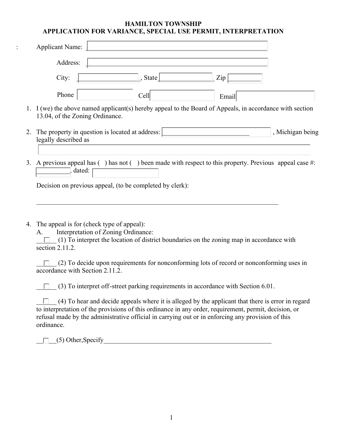## **HAMILTON TOWNSHIP APPLICATION FOR VARIANCE, SPECIAL USE PERMIT, INTERPRETATION**

|    | <b>Applicant Name:</b>                                                                                                                                                                                                                                                                                                                                                                                             |
|----|--------------------------------------------------------------------------------------------------------------------------------------------------------------------------------------------------------------------------------------------------------------------------------------------------------------------------------------------------------------------------------------------------------------------|
|    | Address:                                                                                                                                                                                                                                                                                                                                                                                                           |
|    | City:<br>State<br>Zip                                                                                                                                                                                                                                                                                                                                                                                              |
|    | Phone<br>Cell<br>Email                                                                                                                                                                                                                                                                                                                                                                                             |
| 1. | I (we) the above named applicant(s) hereby appeal to the Board of Appeals, in accordance with section<br>13.04, of the Zoning Ordinance.                                                                                                                                                                                                                                                                           |
| 2. | The property in question is located at address:<br>, Michigan being<br>legally described as                                                                                                                                                                                                                                                                                                                        |
| 3. | A previous appeal has $( )$ has not $( )$ been made with respect to this property. Previous appeal case #:<br>dated:<br>Decision on previous appeal, (to be completed by clerk):                                                                                                                                                                                                                                   |
| 4. | The appeal is for (check type of appeal):<br>Interpretation of Zoning Ordinance:<br>A.<br>(1) To interpret the location of district boundaries on the zoning map in accordance with<br>section 2.11.2.<br>(2) To decide upon requirements for nonconforming lots of record or nonconforming uses in<br>accordance with Section 2.11.2.                                                                             |
|    | (3) To interpret off-street parking requirements in accordance with Section 6.01.<br>(4) To hear and decide appeals where it is alleged by the applicant that there is error in regard<br>to interpretation of the provisions of this ordinance in any order, requirement, permit, decision, or<br>refusal made by the administrative official in carrying out or in enforcing any provision of this<br>ordinance. |
|    | $(5)$ Other, Specify                                                                                                                                                                                                                                                                                                                                                                                               |